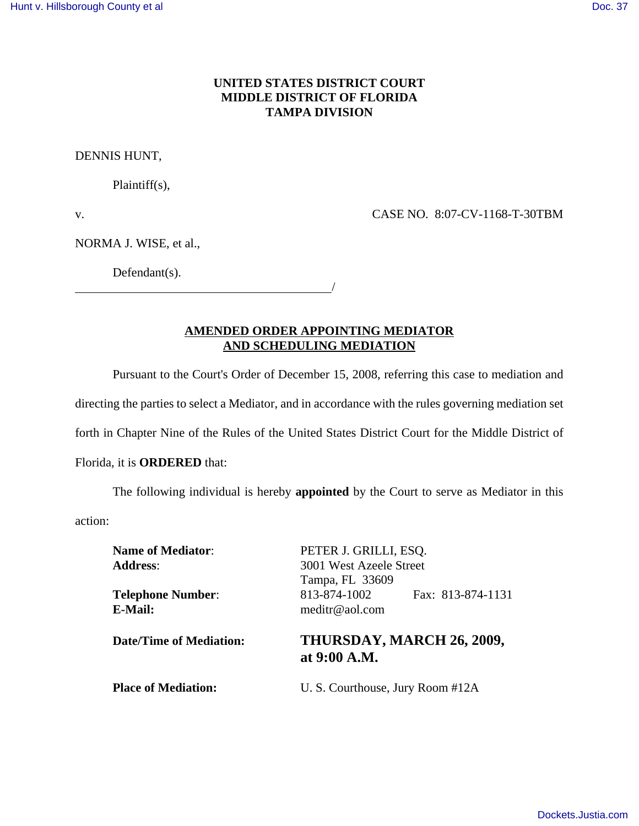## **UNITED STATES DISTRICT COURT MIDDLE DISTRICT OF FLORIDA TAMPA DIVISION**

DENNIS HUNT,

Plaintiff(s),

v. CASE NO. 8:07-CV-1168-T-30TBM

NORMA J. WISE, et al.,

Defendant(s).

<u>/</u>

**AMENDED ORDER APPOINTING MEDIATOR AND SCHEDULING MEDIATION**

Pursuant to the Court's Order of December 15, 2008, referring this case to mediation and

directing the parties to select a Mediator, and in accordance with the rules governing mediation set

forth in Chapter Nine of the Rules of the United States District Court for the Middle District of

## Florida, it is **ORDERED** that:

The following individual is hereby **appointed** by the Court to serve as Mediator in this

action:

| <b>Name of Mediator:</b>       | PETER J. GRILLI, ESQ.                     |  |
|--------------------------------|-------------------------------------------|--|
| <b>Address:</b>                | 3001 West Azeele Street                   |  |
|                                | Tampa, FL 33609                           |  |
| <b>Telephone Number:</b>       | 813-874-1002<br>Fax: 813-874-1131         |  |
| <b>E-Mail:</b>                 | meditr@aol.com                            |  |
| <b>Date/Time of Mediation:</b> | THURSDAY, MARCH 26, 2009,<br>at 9:00 A.M. |  |
| <b>Place of Mediation:</b>     | U. S. Courthouse, Jury Room #12A          |  |
|                                |                                           |  |